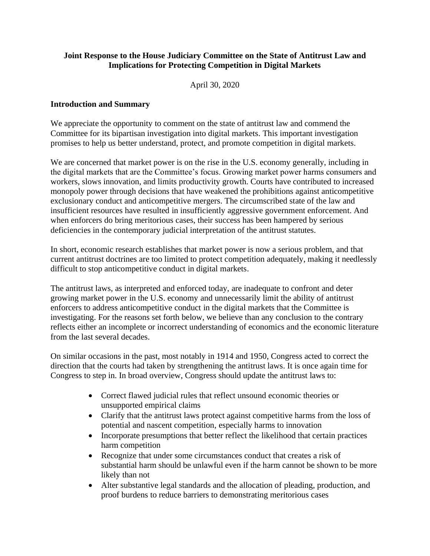# **Joint Response to the House Judiciary Committee on the State of Antitrust Law and Implications for Protecting Competition in Digital Markets**

April 30, 2020

# **Introduction and Summary**

We appreciate the opportunity to comment on the state of antitrust law and commend the Committee for its bipartisan investigation into digital markets. This important investigation promises to help us better understand, protect, and promote competition in digital markets.

We are concerned that market power is on the rise in the U.S. economy generally, including in the digital markets that are the Committee's focus. Growing market power harms consumers and workers, slows innovation, and limits productivity growth. Courts have contributed to increased monopoly power through decisions that have weakened the prohibitions against anticompetitive exclusionary conduct and anticompetitive mergers. The circumscribed state of the law and insufficient resources have resulted in insufficiently aggressive government enforcement. And when enforcers do bring meritorious cases, their success has been hampered by serious deficiencies in the contemporary judicial interpretation of the antitrust statutes.

In short, economic research establishes that market power is now a serious problem, and that current antitrust doctrines are too limited to protect competition adequately, making it needlessly difficult to stop anticompetitive conduct in digital markets.

The antitrust laws, as interpreted and enforced today, are inadequate to confront and deter growing market power in the U.S. economy and unnecessarily limit the ability of antitrust enforcers to address anticompetitive conduct in the digital markets that the Committee is investigating. For the reasons set forth below, we believe than any conclusion to the contrary reflects either an incomplete or incorrect understanding of economics and the economic literature from the last several decades.

On similar occasions in the past, most notably in 1914 and 1950, Congress acted to correct the direction that the courts had taken by strengthening the antitrust laws. It is once again time for Congress to step in. In broad overview, Congress should update the antitrust laws to:

- Correct flawed judicial rules that reflect unsound economic theories or unsupported empirical claims
- Clarify that the antitrust laws protect against competitive harms from the loss of potential and nascent competition, especially harms to innovation
- Incorporate presumptions that better reflect the likelihood that certain practices harm competition
- Recognize that under some circumstances conduct that creates a risk of substantial harm should be unlawful even if the harm cannot be shown to be more likely than not
- Alter substantive legal standards and the allocation of pleading, production, and proof burdens to reduce barriers to demonstrating meritorious cases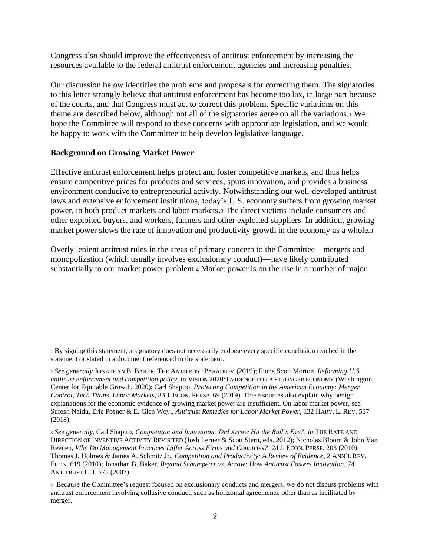Congress also should improve the effectiveness of antitrust enforcement by increasing the resources available to the federal antitrust enforcement agencies and increasing penalties.

Our discussion below identifies the problems and proposals for correcting them. The signatories to this letter strongly believe that antitrust enforcement has become too lax, in large part because of the courts, and that Congress must act to correct this problem. Specific variations on this theme are described below, although not all of the signatories agree on all the variations.<sup>1</sup> We hope the Committee will respond to these concerns with appropriate legislation, and we would be happy to work with the Committee to help develop legislative language.

## **Background on Growing Market Power**

<span id="page-1-0"></span>Effective antitrust enforcement helps protect and foster competitive markets, and thus helps ensure competitive prices for products and services, spurs innovation, and provides a business environment conducive to entrepreneurial activity. Notwithstanding our well-developed antitrust laws and extensive enforcement institutions, today's U.S. economy suffers from growing market power, in both product markets and labor markets.<sup>2</sup> The direct victims include consumers and other exploited buyers, and workers, farmers and other exploited suppliers. In addition, growing market power slows the rate of innovation and productivity growth in the economy as a whole.<sup>3</sup>

<span id="page-1-1"></span>Overly lenient antitrust rules in the areas of primary concern to the Committee—mergers and monopolization (which usually involves exclusionary conduct)—have likely contributed substantially to our market power problem.<sup>4</sup> Market power is on the rise in a number of major

<sup>1</sup> By signing this statement, a signatory does not necessarily endorse every specific conclusion reached in the statement or stated in a document referenced in the statement.

<sup>2</sup> *See generally* JONATHAN B. BAKER, THE ANTITRUST PARADIGM (2019); Fiona Scott Morton, *Reforming U.S. antitrust enforcement and competition policy*, in VISION 2020: EVIDENCE FOR A STRONGER ECONOMY (Washington Center for Equitable Growth, 2020); Carl Shapiro, *Protecting Competition in the American Economy: Merger Control, Tech Titans, Labor Markets*, 33 J. ECON. PERSP. 69 (2019). These sources also explain why benign explanations for the economic evidence of growing market power are insufficient. On labor market power, see Suresh Naidu, Eric Posner & E. Glen Weyl, *Antitrust Remedies for Labor Market Power*, 132 HARV. L. REV. 537 (2018).

<sup>3</sup> *See generally*, Carl Shapiro, *Competition and Innovation: Did Arrow Hit the Bull's Eye?*, *in* THE RATE AND DIRECTION OF INVENTIVE ACTIVITY REVISITED (Josh Lerner & Scott Stern, eds. 2012); Nicholas Bloom & John Van Reenen, *Why Do Management Practices Differ Across Firms and Countries?* 24 J. ECON.PERSP. 203 (2010); Thomas J. Holmes & James A. Schmitz Jr., *Competition and Productivity: A Review of Evidence*, 2 ANN'L REV. ECON. 619 (2010); Jonathan B. Baker, *Beyond Schumpeter vs. Arrow: How Antitrust Fosters Innovation*, 74 ANTITRUST L. J. 575 (2007).

<sup>4</sup> Because the Committee's request focused on exclusionary conducts and mergers, we do not discuss problems with antitrust enforcement involving collusive conduct, such as horizontal agreements, other than as facilitated by merger.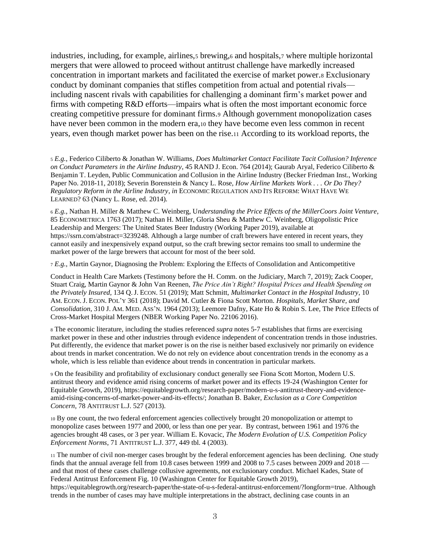<span id="page-2-1"></span><span id="page-2-0"></span>industries, including, for example, airlines, brewing, 6 and hospitals, 7 where multiple horizontal mergers that were allowed to proceed without antitrust challenge have markedly increased concentration in important markets and facilitated the exercise of market power.<sup>8</sup> Exclusionary conduct by dominant companies that stifles competition from actual and potential rivals including nascent rivals with capabilities for challenging a dominant firm's market power and firms with competing R&D efforts—impairs what is often the most important economic force creating competitive pressure for dominant firms.<sup>9</sup> Although government monopolization cases have never been common in the modern era,<sup>10</sup> they have become even less common in recent years, even though market power has been on the rise.<sup>11</sup> According to its workload reports, the

<span id="page-2-3"></span><span id="page-2-2"></span><sup>5</sup> *E.g.*, Federico Ciliberto & Jonathan W. Williams*, Does Multimarket Contact Facilitate Tacit Collusion? Inference on Conduct Parameters in the Airline Industry*, 45 RAND J. Econ. 764 (2014); Gaurab Aryal, Federico Ciliberto & Benjamin T. Leyden, Public Communication and Collusion in the Airline Industry (Becker Friedman Inst., Working Paper No. 2018-11, 2018); Severin Borenstein & Nancy L. Rose*, How Airline Markets Work . . . Or Do They? Regulatory Reform in the Airline Industry*, *in* ECONOMIC REGULATION AND ITS REFORM: WHAT HAVE WE LEARNED? 63 (Nancy L. Rose, ed. 2014).

<sup>6</sup> *E.g.*, Nathan H. Miller & Matthew C. Weinberg, U*nderstanding the Price Effects of the MillerCoors Joint Venture*, 85 ECONOMETRICA 1763 (2017); Nathan H. Miller, Gloria Sheu & Matthew C. Weinberg, Oligopolistic Price Leadership and Mergers: The United States Beer Industry (Working Paper 2019), available at https://ssrn.com/abstract=3239248. Although a large number of craft brewers have entered in recent years, they cannot easily and inexpensively expand output, so the craft brewing sector remains too small to undermine the market power of the large brewers that account for most of the beer sold.

<sup>7</sup> *E.g.*, Martin Gaynor, Diagnosing the Problem: Exploring the Effects of Consolidation and Anticompetitive

Conduct in Health Care Markets (Testimony before the H. Comm. on the Judiciary, March 7, 2019); Zack Cooper, Stuart Craig, Martin Gaynor & John Van Reenen, *The Price Ain't Right? Hospital Prices and Health Spending on the Privately Insured,* 134 Q.J. ECON. 51 (2019); Matt Schmitt, *Multimarket Contact in the Hospital Industry*, 10 AM. ECON. J. ECON.POL'Y 361 (2018); David M. Cutler & Fiona Scott Morton. *Hospitals, Market Share, and Consolidation*, 310 J. AM. MED. ASS'N. 1964 (2013); Leemore Dafny, Kate Ho & Robin S. Lee, The Price Effects of Cross-Market Hospital Mergers (NBER Working Paper No. 22106 2016).

<sup>8</sup> The economic literature, including the studies referenced *supra* notes [5](#page-2-0)[-7](#page-2-1) establishes that firms are exercising market power in these and other industries through evidence independent of concentration trends in those industries. Put differently, the evidence that market power is on the rise is neither based exclusively nor primarily on evidence about trends in market concentration. We do not rely on evidence about concentration trends in the economy as a whole, which is less reliable than evidence about trends in concentration in particular markets.

<sup>9</sup> On the feasibility and profitability of exclusionary conduct generally see Fiona Scott Morton, Modern U.S. antitrust theory and evidence amid rising concerns of market power and its effects 19-24 (Washington Center for Equitable Growth, 2019), https://equitablegrowth.org/research-paper/modern-u-s-antitrust-theory-and-evidenceamid-rising-concerns-of-market-power-and-its-effects/; Jonathan B. Baker, *Exclusion as a Core Competition Concern*, 78 ANTITRUST L.J. 527 (2013).

<sup>10</sup> By one count, the two federal enforcement agencies collectively brought 20 monopolization or attempt to monopolize cases between 1977 and 2000, or less than one per year. By contrast, between 1961 and 1976 the agencies brought 48 cases, or 3 per year. William E. Kovacic, *The Modern Evolution of U.S. Competition Policy Enforcement Norms*, 71 ANTITRUST L.J. 377, 449 tbl. 4 (2003).

<sup>11</sup> The number of civil non-merger cases brought by the federal enforcement agencies has been declining. One study finds that the annual average fell from 10.8 cases between 1999 and 2008 to 7.5 cases between 2009 and 2018 and that most of these cases challenge collusive agreements, not exclusionary conduct. Michael Kades, State of Federal Antitrust Enforcement Fig. 10 (Washington Center for Equitable Growth 2019),

https://equitablegrowth.org/research-paper/the-state-of-u-s-federal-antitrust-enforcement/?longform=true. Although trends in the number of cases may have multiple interpretations in the abstract, declining case counts in an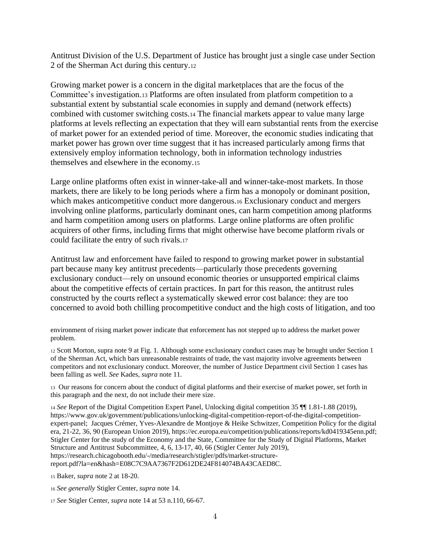Antitrust Division of the U.S. Department of Justice has brought just a single case under Section 2 of the Sherman Act during this century.<sup>12</sup>

<span id="page-3-0"></span>Growing market power is a concern in the digital marketplaces that are the focus of the Committee's investigation.<sup>13</sup> Platforms are often insulated from platform competition to a substantial extent by substantial scale economies in supply and demand (network effects) combined with customer switching costs.<sup>14</sup> The financial markets appear to value many large platforms at levels reflecting an expectation that they will earn substantial rents from the exercise of market power for an extended period of time. Moreover, the economic studies indicating that market power has grown over time suggest that it has increased particularly among firms that extensively employ information technology, both in information technology industries themselves and elsewhere in the economy.<sup>15</sup>

Large online platforms often exist in winner-take-all and winner-take-most markets. In those markets, there are likely to be long periods where a firm has a monopoly or dominant position, which makes anticompetitive conduct more dangerous.<sup>16</sup> Exclusionary conduct and mergers involving online platforms, particularly dominant ones, can harm competition among platforms and harm competition among users on platforms. Large online platforms are often prolific acquirers of other firms, including firms that might otherwise have become platform rivals or could facilitate the entry of such rivals.<sup>17</sup>

Antitrust law and enforcement have failed to respond to growing market power in substantial part because many key antitrust precedents—particularly those precedents governing exclusionary conduct—rely on unsound economic theories or unsupported empirical claims about the competitive effects of certain practices. In part for this reason, the antitrust rules constructed by the courts reflect a systematically skewed error cost balance: they are too concerned to avoid both chilling procompetitive conduct and the high costs of litigation, and too

environment of rising market power indicate that enforcement has not stepped up to address the market power problem.

<sup>12</sup> Scott Morton, supra note [9](#page-2-2) at Fig. 1. Although some exclusionary conduct cases may be brought under Section 1 of the Sherman Act, which bars unreasonable restraints of trade, the vast majority involve agreements between competitors and not exclusionary conduct. Moreover, the number of Justice Department civil Section 1 cases has been falling as well. *See* Kades, *supra* not[e 11](#page-2-3)*.*

<sup>13</sup> Our reasons for concern about the conduct of digital platforms and their exercise of market power, set forth in this paragraph and the next, do not include their mere size.

<sup>14</sup> *See* Report of the Digital Competition Expert Panel, Unlocking digital competition 35 ¶¶ 1.81-1.88 (2019), https://www.gov.uk/government/publications/unlocking-digital-competition-report-of-the-digital-competitionexpert-panel; Jacques Crémer, Yves-Alexandre de Montjoye & Heike Schwitzer, Competition Policy for the digital era, 21-22, 36, 90 (European Union 2019), https://ec.europa.eu/competition/publications/reports/kd0419345enn.pdf; Stigler Center for the study of the Economy and the State, Committee for the Study of Digital Platforms, Market Structure and Antitrust Subcommittee, 4, 6, 13-17, 40, 66 (Stigler Center July 2019), https://research.chicagobooth.edu/-/media/research/stigler/pdfs/market-structurereport.pdf?la=en&hash=E08C7C9AA7367F2D612DE24F814074BA43CAED8C.

<sup>15</sup> Baker, *supra* note [2](#page-1-0) at 18-20.

- <sup>16</sup> *See generally* Stigler Center, *supra* not[e 14.](#page-3-0)
- <sup>17</sup> *See* Stigler Center, *supra* not[e 14](#page-3-0) at 53 n.110, 66-67.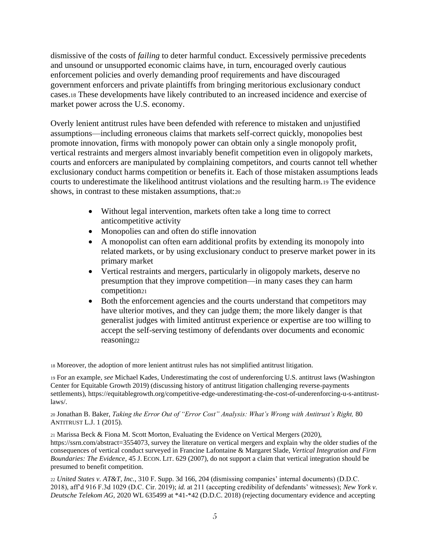dismissive of the costs of *failing* to deter harmful conduct. Excessively permissive precedents and unsound or unsupported economic claims have, in turn, encouraged overly cautious enforcement policies and overly demanding proof requirements and have discouraged government enforcers and private plaintiffs from bringing meritorious exclusionary conduct cases.<sup>18</sup> These developments have likely contributed to an increased incidence and exercise of market power across the U.S. economy.

Overly lenient antitrust rules have been defended with reference to mistaken and unjustified assumptions—including erroneous claims that markets self-correct quickly, monopolies best promote innovation, firms with monopoly power can obtain only a single monopoly profit, vertical restraints and mergers almost invariably benefit competition even in oligopoly markets, courts and enforcers are manipulated by complaining competitors, and courts cannot tell whether exclusionary conduct harms competition or benefits it. Each of those mistaken assumptions leads courts to underestimate the likelihood antitrust violations and the resulting harm.<sup>19</sup> The evidence shows, in contrast to these mistaken assumptions, that:<sup>20</sup>

- <span id="page-4-0"></span>• Without legal intervention, markets often take a long time to correct anticompetitive activity
- Monopolies can and often do stifle innovation
- A monopolist can often earn additional profits by extending its monopoly into related markets, or by using exclusionary conduct to preserve market power in its primary market
- Vertical restraints and mergers, particularly in oligopoly markets, deserve no presumption that they improve competition—in many cases they can harm competition<sup>21</sup>
- <span id="page-4-1"></span>• Both the enforcement agencies and the courts understand that competitors may have ulterior motives, and they can judge them; the more likely danger is that generalist judges with limited antitrust experience or expertise are too willing to accept the self-serving testimony of defendants over documents and economic reasoning<sup>22</sup>

<sup>18</sup> Moreover, the adoption of more lenient antitrust rules has not simplified antitrust litigation.

<sup>19</sup> For an example, *see* Michael Kades, Underestimating the cost of underenforcing U.S. antitrust laws (Washington Center for Equitable Growth 2019) (discussing history of antitrust litigation challenging reverse-payments settlements), https://equitablegrowth.org/competitive-edge-underestimating-the-cost-of-underenforcing-u-s-antitrustlaws/.

<sup>20</sup> Jonathan B. Baker, *Taking the Error Out of "Error Cost" Analysis: What's Wrong with Antitrust's Right,* 80 ANTITRUST L.J. 1 (2015).

<sup>21</sup> Marissa Beck & Fiona M. Scott Morton, Evaluating the Evidence on Vertical Mergers (2020), https://ssrn.com/abstract=3554073, survey the literature on vertical mergers and explain why the older studies of the consequences of vertical conduct surveyed in Francine Lafontaine & Margaret Slade, *Vertical Integration and Firm Boundaries: The Evidence*, 45 J. ECON. LIT. 629 (2007), do not support a claim that vertical integration should be presumed to benefit competition.

<sup>22</sup> *United States v. AT&T, Inc.,* 310 F. Supp. 3d 166, 204 (dismissing companies' internal documents) (D.D.C. 2018), aff'd 916 F.3d 1029 (D.C. Cir. 2019); *id.* at 211 (accepting credibility of defendants' witnesses); *New York v. Deutsche Telekom AG,* 2020 WL 635499 at \*41-\*42 (D.D.C. 2018) (rejecting documentary evidence and accepting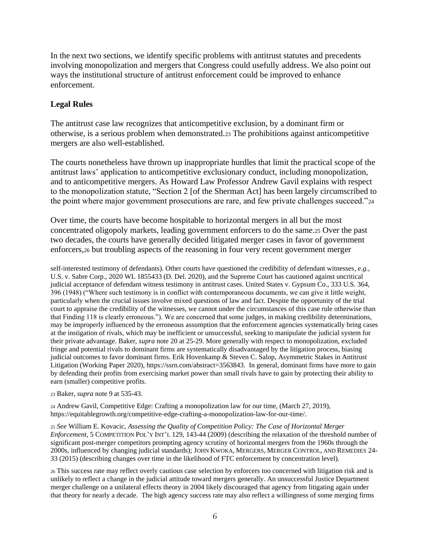In the next two sections, we identify specific problems with antitrust statutes and precedents involving monopolization and mergers that Congress could usefully address. We also point out ways the institutional structure of antitrust enforcement could be improved to enhance enforcement.

# **Legal Rules**

The antitrust case law recognizes that anticompetitive exclusion, by a dominant firm or otherwise, is a serious problem when demonstrated.<sup>23</sup> The prohibitions against anticompetitive mergers are also well-established.

The courts nonetheless have thrown up inappropriate hurdles that limit the practical scope of the antitrust laws' application to anticompetitive exclusionary conduct, including monopolization, and to anticompetitive mergers. As Howard Law Professor Andrew Gavil explains with respect to the monopolization statute, "Section 2 [of the Sherman Act] has been largely circumscribed to the point where major government prosecutions are rare, and few private challenges succeed."<sup>24</sup>

<span id="page-5-1"></span><span id="page-5-0"></span>Over time, the courts have become hospitable to horizontal mergers in all but the most concentrated oligopoly markets, leading government enforcers to do the same.<sup>25</sup> Over the past two decades, the courts have generally decided litigated merger cases in favor of government enforcers,<sup>26</sup> but troubling aspects of the reasoning in four very recent government merger

self-interested testimony of defendants). Other courts have questioned the credibility of defendant witnesses, *e.g.,*  U.S. v. Sabre Corp., 2020 WL 1855433 (D. Del. 2020), and the Supreme Court has cautioned against uncritical judicial acceptance of defendant witness testimony in antitrust cases. United States v. Gypsum Co., 333 U.S. 364, 396 (1948) ("Where such testimony is in conflict with contemporaneous documents, we can give it little weight, particularly when the crucial issues involve mixed questions of law and fact. Despite the opportunity of the trial court to appraise the credibility of the witnesses, we cannot under the circumstances of this case rule otherwise than that Finding 118 is clearly erroneous."). We are concerned that some judges, in making credibility determinations, may be improperly influenced by the erroneous assumption that the enforcement agencies systematically bring cases at the instigation of rivals, which may be inefficient or unsuccessful, seeking to manipulate the judicial system for their private advantage. Baker, *supra* not[e 20](#page-4-0) at 25-29. More generally with respect to monopolization, excluded fringe and potential rivals to dominant firms are systematically disadvantaged by the litigation process, biasing judicial outcomes to favor dominant firms. Erik Hovenkamp & Steven C. Salop, Asymmetric Stakes in Antitrust Litigation (Working Paper 2020), https://ssrn.com/abstract=3563843. In general, dominant firms have more to gain by defending their profits from exercising market power than small rivals have to gain by protecting their ability to earn (smaller) competitive profits.

<sup>23</sup> Baker, *supra* note [9](#page-2-2) at 535-43.

<sup>24</sup> Andrew Gavil, Competitive Edge: Crafting a monopolization law for our time, (March 27, 2019), https://equitablegrowth.org/competitive-edge-crafting-a-monopolization-law-for-our-time/.

<sup>25</sup> *See* William E. Kovacic, *Assessing the Quality of Competition Policy: The Case of Horizontal Merger Enforcement*, 5 COMPETITION POL'Y INT'L 129, 143-44 (2009) (describing the relaxation of the threshold number of significant post-merger competitors prompting agency scrutiny of horizontal mergers from the 1960s through the 2000s, influenced by changing judicial standards); JOHN KWOKA, MERGERS, MERGER CONTROL, AND REMEDIES 24- 33 (2015) (describing changes over time in the likelihood of FTC enforcement by concentration level).

<sup>26</sup> This success rate may reflect overly cautious case selection by enforcers too concerned with litigation risk and is unlikely to reflect a change in the judicial attitude toward mergers generally. An unsuccessful Justice Department merger challenge on a unilateral effects theory in 2004 likely discouraged that agency from litigating again under that theory for nearly a decade. The high agency success rate may also reflect a willingness of some merging firms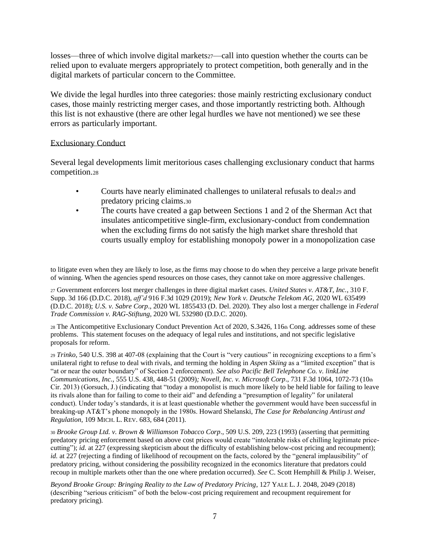losses—three of which involve digital markets27—call into question whether the courts can be relied upon to evaluate mergers appropriately to protect competition, both generally and in the digital markets of particular concern to the Committee.

We divide the legal hurdles into three categories: those mainly restricting exclusionary conduct cases, those mainly restricting merger cases, and those importantly restricting both. Although this list is not exhaustive (there are other legal hurdles we have not mentioned) we see these errors as particularly important.

#### Exclusionary Conduct

Several legal developments limit meritorious cases challenging exclusionary conduct that harms competition.<sup>28</sup>

- <span id="page-6-0"></span>• Courts have nearly eliminated challenges to unilateral refusals to deal29 and predatory pricing claims.<sup>30</sup>
- The courts have created a gap between Sections 1 and 2 of the Sherman Act that insulates anticompetitive single-firm, exclusionary-conduct from condemnation when the excluding firms do not satisfy the high market share threshold that courts usually employ for establishing monopoly power in a monopolization case

to litigate even when they are likely to lose, as the firms may choose to do when they perceive a large private benefit of winning. When the agencies spend resources on those cases, they cannot take on more aggressive challenges.

<sup>27</sup> Government enforcers lost merger challenges in three digital market cases. *United States v. AT&T, Inc.*, 310 F. Supp. 3d 166 (D.D.C. 2018), *aff'd* 916 F.3d 1029 (2019); *New York v. Deutsche Telekom AG,* 2020 WL 635499 (D.D.C. 2018); *U.S. v. Sabre Corp*., 2020 WL 1855433 (D. Del. 2020). They also lost a merger challenge in *Federal Trade Commission v. RAG-Stiftung*, 2020 WL 532980 (D.D.C. 2020).

<sup>28</sup> The Anticompetitive Exclusionary Conduct Prevention Act of 2020, S.3426, 116th Cong. addresses some of these problems. This statement focuses on the adequacy of legal rules and institutions, and not specific legislative proposals for reform.

<sup>29</sup> *Trinko,* 540 U.S. 398 at 407-08 (explaining that the Court is "very cautious" in recognizing exceptions to a firm's unilateral right to refuse to deal with rivals, and terming the holding in *Aspen Skiing* as a "limited exception" that is "at or near the outer boundary" of Section 2 enforcement). *See also Pacific Bell Telephone Co. v. linkLine Communications, Inc.*, 555 U.S. 438, 448-51 (2009)*; Novell, Inc. v. Microsoft Corp*., 731 F.3d 1064, 1072-73 (10th Cir. 2013) (Gorsuch, J.) (indicating that "today a monopolist is much more likely to be held liable for failing to leave its rivals alone than for failing to come to their aid" and defending a "presumption of legality" for unilateral conduct). Under today's standards, it is at least questionable whether the government would have been successful in breaking-up AT&T's phone monopoly in the 1980s. Howard Shelanski, *The Case for Rebalancing Antirust and Regulation,* 109 MICH. L. REV. 683, 684 (2011).

<sup>30</sup> *Brooke Group Ltd. v. Brown & Williamson Tobacco Corp*., 509 U.S. 209, 223 (1993) (asserting that permitting predatory pricing enforcement based on above cost prices would create "intolerable risks of chilling legitimate pricecutting"); *id.* at 227 (expressing skepticism about the difficulty of establishing below-cost pricing and recoupment); *id.* at 227 (rejecting a finding of likelihood of recoupment on the facts, colored by the "general implausibility" of predatory pricing, without considering the possibility recognized in the economics literature that predators could recoup in multiple markets other than the one where predation occurred). *See* C. Scott Hemphill & Philip J. Weiser,

*Beyond Brooke Group: Bringing Reality to the Law of Predatory Pricing*, 127 YALE L. J. 2048, 2049 (2018) (describing "serious criticism" of both the below-cost pricing requirement and recoupment requirement for predatory pricing).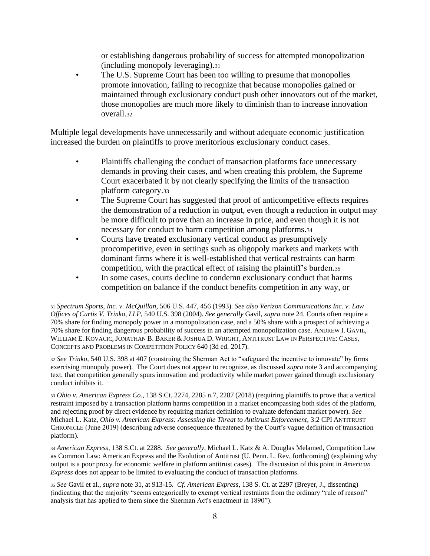<span id="page-7-2"></span><span id="page-7-0"></span>or establishing dangerous probability of success for attempted monopolization (including monopoly leveraging).<sup>31</sup>

The U.S. Supreme Court has been too willing to presume that monopolies promote innovation, failing to recognize that because monopolies gained or maintained through exclusionary conduct push other innovators out of the market, those monopolies are much more likely to diminish than to increase innovation overall.<sup>32</sup>

Multiple legal developments have unnecessarily and without adequate economic justification increased the burden on plaintiffs to prove meritorious exclusionary conduct cases.

- Plaintiffs challenging the conduct of transaction platforms face unnecessary demands in proving their cases, and when creating this problem, the Supreme Court exacerbated it by not clearly specifying the limits of the transaction platform category.<sup>33</sup>
- <span id="page-7-1"></span>• The Supreme Court has suggested that proof of anticompetitive effects requires the demonstration of a reduction in output, even though a reduction in output may be more difficult to prove than an increase in price, and even though it is not necessary for conduct to harm competition among platforms.<sup>34</sup>
- Courts have treated exclusionary vertical conduct as presumptively procompetitive, even in settings such as oligopoly markets and markets with dominant firms where it is well-established that vertical restraints can harm competition, with the practical effect of raising the plaintiff's burden.<sup>35</sup>
- In some cases, courts decline to condemn exclusionary conduct that harms competition on balance if the conduct benefits competition in any way, or

<sup>31</sup> *Spectrum Sports, Inc. v. McQuillan*, 506 U.S. 447, 456 (1993). *See also Verizon Communications Inc. v. Law Offices of Curtis V. Trinko, LLP*, 540 U.S. 398 (2004). *See generally* Gavil, *supra* not[e 24.](#page-5-0) Courts often require a 70% share for finding monopoly power in a monopolization case, and a 50% share with a prospect of achieving a 70% share for finding dangerous probability of success in an attempted monopolization case. ANDREW I. GAVIL, WILLIAM E. KOVACIC, JONATHAN B. BAKER & JOSHUA D. WRIGHT, ANTITRUST LAW IN PERSPECTIVE: CASES, CONCEPTS AND PROBLEMS IN COMPETITION POLICY 640 (3d ed. 2017).

<sup>32</sup> *See Trinko*, 540 U.S. 398 at 407 (construing the Sherman Act to "safeguard the incentive to innovate" by firms exercising monopoly power). The Court does not appear to recognize, as discussed *supra* note [3](#page-1-1) and accompanying text, that competition generally spurs innovation and productivity while market power gained through exclusionary conduct inhibits it.

<sup>33</sup> *Ohio v. American Express Co*., 138 S.Ct. 2274, 2285 n.7, 2287 (2018) (requiring plaintiffs to prove that a vertical restraint imposed by a transaction platform harms competition in a market encompassing both sides of the platform, and rejecting proof by direct evidence by requiring market definition to evaluate defendant market power). *See*  Michael L. Katz, *Ohio v. American Express: Assessing the Threat to Antitrust Enforcement*, 3:2 CPI ANTITRUST CHRONICLE (June 2019) (describing adverse consequence threatened by the Court's vague definition of transaction platform).

<sup>34</sup> *American Express*, 138 S.Ct. at 2288. *See generally*, Michael L. Katz & A. Douglas Melamed, Competition Law as Common Law: American Express and the Evolution of Antitrust (U. Penn. L. Rev, forthcoming) (explaining why output is a poor proxy for economic welfare in platform antitrust cases). The discussion of this point in *American Express* does not appear to be limited to evaluating the conduct of transaction platforms.

<sup>35</sup> *See* Gavil et al., *supra* not[e 31,](#page-7-0) at 913-15. *Cf. American Express*, 138 S. Ct. at 2297 (Breyer, J., dissenting) (indicating that the majority "seems categorically to exempt vertical restraints from the ordinary "rule of reason" analysis that has applied to them since the Sherman Act's enactment in 1890").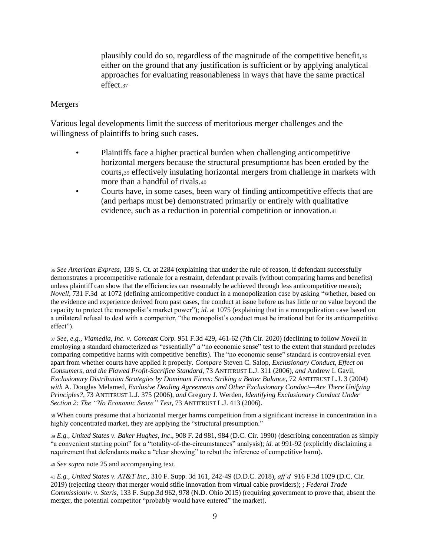plausibly could do so, regardless of the magnitude of the competitive benefit,<sup>36</sup> either on the ground that any justification is sufficient or by applying analytical approaches for evaluating reasonableness in ways that have the same practical effect.<sup>37</sup>

#### Mergers

Various legal developments limit the success of meritorious merger challenges and the willingness of plaintiffs to bring such cases.

- Plaintiffs face a higher practical burden when challenging anticompetitive horizontal mergers because the structural presumptions has been eroded by the courts,<sup>39</sup> effectively insulating horizontal mergers from challenge in markets with more than a handful of rivals.<sup>40</sup>
- Courts have, in some cases, been wary of finding anticompetitive effects that are (and perhaps must be) demonstrated primarily or entirely with qualitative evidence, such as a reduction in potential competition or innovation.<sup>41</sup>

<sup>36</sup> *See American Express*, 138 S. Ct. at 2284 (explaining that under the rule of reason, if defendant successfully demonstrates a procompetitive rationale for a restraint, defendant prevails (without comparing harms and benefits) unless plaintiff can show that the efficiencies can reasonably be achieved through less anticompetitive means); *Novell*, 731 F.3d at 1072 (defining anticompetitive conduct in a monopolization case by asking "whether, based on the evidence and experience derived from past cases, the conduct at issue before us has little or no value beyond the capacity to protect the monopolist's market power"); *id.* at 1075 (explaining that in a monopolization case based on a unilateral refusal to deal with a competitor, "the monopolist's conduct must be irrational but for its anticompetitive effect").

<sup>37</sup> *See, e.g., Viamedia, Inc. v. Comcast Corp.* 951 F.3d 429, 461-62 (7th Cir. 2020) (declining to follow *Novell* in employing a standard characterized as "essentially" a "no economic sense" test to the extent that standard precludes comparing competitive harms with competitive benefits). The "no economic sense" standard is controversial even apart from whether courts have applied it properly. *Compare* Steven C. Salop, *Exclusionary Conduct, Effect on Consumers, and the Flawed Profit-Sacrifice Standard*, 73 ANTITRUST L.J. 311 (2006), *and* Andrew I. Gavil, *Exclusionary Distribution Strategies by Dominant Firms: Striking a Better Balance*, 72 ANTITRUST L.J. 3 (2004) *with* A. Douglas Melamed, *Exclusive Dealing Agreements and Other Exclusionary Conduct—Are There Unifying Principles?*, 73 ANTITRUST L.J. 375 (2006), *and* Gregory J. Werden, *Identifying Exclusionary Conduct Under Section 2: The ''No Economic Sense'' Test*, 73 ANTITRUST L.J. 413 (2006).

<sup>38</sup> When courts presume that a horizontal merger harms competition from a significant increase in concentration in a highly concentrated market, they are applying the "structural presumption."

<sup>39</sup> *E.g., United States v. Baker Hughes, Inc*., 908 F. 2d 981, 984 (D.C. Cir. 1990) (describing concentration as simply "a convenient starting point" for a "totality-of-the-circumstances" analysis); *id.* at 991-92 (explicitly disclaiming a requirement that defendants make a "clear showing" to rebut the inference of competitive harm).

<sup>40</sup> *See supra* not[e 25](#page-5-1) and accompanying text.

<sup>41</sup> *E.g., United States v. AT&T Inc.,* 310 F. Supp. 3d 161, 242-49 (D.D.C. 2018), *aff'd* 916 F.3d 1029 (D.C. Cir. 2019) (rejecting theory that merger would stifle innovation from virtual cable providers); ; *Federal Trade Commission\v. v. Steris*, 133 F. Supp.3d 962, 978 (N.D. Ohio 2015) (requiring government to prove that, absent the merger, the potential competitor "probably would have entered" the market).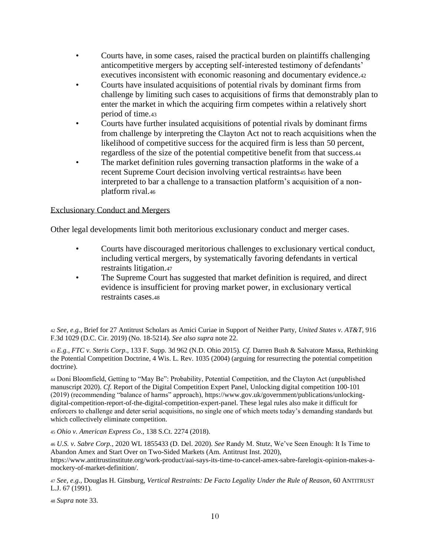- Courts have, in some cases, raised the practical burden on plaintiffs challenging anticompetitive mergers by accepting self-interested testimony of defendants' executives inconsistent with economic reasoning and documentary evidence.<sup>42</sup>
- Courts have insulated acquisitions of potential rivals by dominant firms from challenge by limiting such cases to acquisitions of firms that demonstrably plan to enter the market in which the acquiring firm competes within a relatively short period of time.<sup>43</sup>
- Courts have further insulated acquisitions of potential rivals by dominant firms from challenge by interpreting the Clayton Act not to reach acquisitions when the likelihood of competitive success for the acquired firm is less than 50 percent, regardless of the size of the potential competitive benefit from that success.<sup>44</sup>
- <span id="page-9-0"></span>The market definition rules governing transaction platforms in the wake of a recent Supreme Court decision involving vertical restraints45 have been interpreted to bar a challenge to a transaction platform's acquisition of a nonplatform rival.<sup>46</sup>

## Exclusionary Conduct and Mergers

Other legal developments limit both meritorious exclusionary conduct and merger cases.

- Courts have discouraged meritorious challenges to exclusionary vertical conduct, including vertical mergers, by systematically favoring defendants in vertical restraints litigation.<sup>47</sup>
- The Supreme Court has suggested that market definition is required, and direct evidence is insufficient for proving market power, in exclusionary vertical restraints cases.<sup>48</sup>

<sup>42</sup> *See, e.g.,* Brief for 27 Antitrust Scholars as Amici Curiae in Support of Neither Party, *United States v. AT&T*, 916 F.3d 1029 (D.C. Cir. 2019) (No. 18-5214). *See also supra* note [22.](#page-4-1)

<sup>43</sup> *E.g., FTC v. Steris Corp*., 133 F. Supp. 3d 962 (N.D. Ohio 2015). *Cf.* Darren Bush & Salvatore Massa, Rethinking the Potential Competition Doctrine, 4 Wis. L. Rev. 1035 (2004) (arguing for resurrecting the potential competition doctrine).

<sup>44</sup> Doni Bloomfield, Getting to "May Be": Probability, Potential Competition, and the Clayton Act (unpublished manuscript 2020). *Cf.* Report of the Digital Competition Expert Panel, Unlocking digital competition 100-101 (2019) (recommending "balance of harms" approach), https://www.gov.uk/government/publications/unlockingdigital-competition-report-of-the-digital-competition-expert-panel. These legal rules also make it difficult for enforcers to challenge and deter serial acquisitions, no single one of which meets today's demanding standards but which collectively eliminate competition.

<sup>45</sup> *Ohio v. American Express Co*., 138 S.Ct. 2274 (2018).

<sup>46</sup> *U.S. v. Sabre Corp.,* 2020 WL 1855433 (D. Del. 2020). *See* Randy M. Stutz, We've Seen Enough: It Is Time to Abandon Amex and Start Over on Two-Sided Markets (Am. Antitrust Inst. 2020), https://www.antitrustinstitute.org/work-product/aai-says-its-time-to-cancel-amex-sabre-farelogix-opinion-makes-amockery-of-market-definition/.

<sup>47</sup> *See, e.g.,* Douglas H. Ginsburg, *Vertical Restraints: De Facto Legality Under the Rule of Reason*, 60 ANTITRUST L.J. 67 (1991).

<sup>48</sup> *Supra* note [33.](#page-7-1)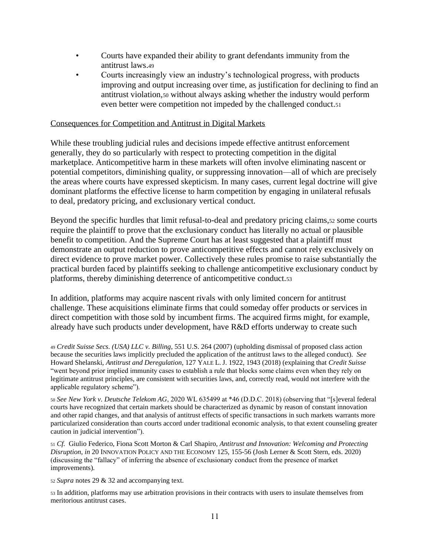- Courts have expanded their ability to grant defendants immunity from the antitrust laws.<sup>49</sup>
- <span id="page-10-0"></span>• Courts increasingly view an industry's technological progress, with products improving and output increasing over time, as justification for declining to find an antitrust violation,<sup>50</sup> without always asking whether the industry would perform even better were competition not impeded by the challenged conduct.<sup>51</sup>

### Consequences for Competition and Antitrust in Digital Markets

While these troubling judicial rules and decisions impede effective antitrust enforcement generally, they do so particularly with respect to protecting competition in the digital marketplace. Anticompetitive harm in these markets will often involve eliminating nascent or potential competitors, diminishing quality, or suppressing innovation—all of which are precisely the areas where courts have expressed skepticism. In many cases, current legal doctrine will give dominant platforms the effective license to harm competition by engaging in unilateral refusals to deal, predatory pricing, and exclusionary vertical conduct.

Beyond the specific hurdles that limit refusal-to-deal and predatory pricing claims,<sup>52</sup> some courts require the plaintiff to prove that the exclusionary conduct has literally no actual or plausible benefit to competition. And the Supreme Court has at least suggested that a plaintiff must demonstrate an output reduction to prove anticompetitive effects and cannot rely exclusively on direct evidence to prove market power. Collectively these rules promise to raise substantially the practical burden faced by plaintiffs seeking to challenge anticompetitive exclusionary conduct by platforms, thereby diminishing deterrence of anticompetitive conduct.<sup>53</sup>

In addition, platforms may acquire nascent rivals with only limited concern for antitrust challenge. These acquisitions eliminate firms that could someday offer products or services in direct competition with those sold by incumbent firms. The acquired firms might, for example, already have such products under development, have R&D efforts underway to create such

<sup>49</sup> *Credit Suisse Secs. (USA) LLC v. Billing*, 551 U.S. 264 (2007) (upholding dismissal of proposed class action because the securities laws implicitly precluded the application of the antitrust laws to the alleged conduct). *See* Howard Shelanski, *Antitrust and Deregulation*, 127 YALE L. J. 1922, 1943 (2018) (explaining that *Credit Suisse* "went beyond prior implied immunity cases to establish a rule that blocks some claims even when they rely on legitimate antitrust principles, are consistent with securities laws, and, correctly read, would not interfere with the applicable regulatory scheme").

<sup>50</sup> *See New York v. Deutsche Telekom AG*, 2020 WL 635499 at \*46 (D.D.C. 2018) (observing that "[s]everal federal courts have recognized that certain markets should be characterized as dynamic by reason of constant innovation and other rapid changes, and that analysis of antitrust effects of specific transactions in such markets warrants more particularized consideration than courts accord under traditional economic analysis, to that extent counseling greater caution in judicial intervention").

<sup>51</sup> *Cf.* Giulio Federico, Fiona Scott Morton & Carl Shapiro, *Antitrust and Innovation: Welcoming and Protecting Disruption*, *in* 20 INNOVATION POLICY AND THE ECONOMY 125, 155-56 (Josh Lerner & Scott Stern, eds. 2020) (discussing the "fallacy" of inferring the absence of exclusionary conduct from the presence of market improvements).

<sup>52</sup> *Supra* notes [29](#page-6-0) & [32](#page-7-2) and accompanying text.

<sup>53</sup> In addition, platforms may use arbitration provisions in their contracts with users to insulate themselves from meritorious antitrust cases.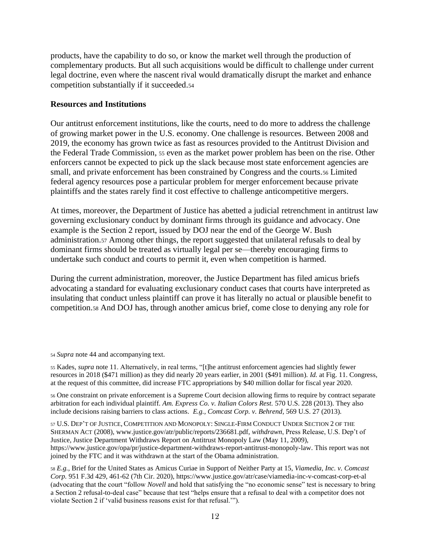products, have the capability to do so, or know the market well through the production of complementary products. But all such acquisitions would be difficult to challenge under current legal doctrine, even where the nascent rival would dramatically disrupt the market and enhance competition substantially if it succeeded.<sup>54</sup>

## **Resources and Institutions**

Our antitrust enforcement institutions, like the courts, need to do more to address the challenge of growing market power in the U.S. economy. One challenge is resources. Between 2008 and 2019, the economy has grown twice as fast as resources provided to the Antitrust Division and the Federal Trade Commission, <sup>55</sup> even as the market power problem has been on the rise. Other enforcers cannot be expected to pick up the slack because most state enforcement agencies are small, and private enforcement has been constrained by Congress and the courts.<sup>56</sup> Limited federal agency resources pose a particular problem for merger enforcement because private plaintiffs and the states rarely find it cost effective to challenge anticompetitive mergers.

At times, moreover, the Department of Justice has abetted a judicial retrenchment in antitrust law governing exclusionary conduct by dominant firms through its guidance and advocacy. One example is the Section 2 report, issued by DOJ near the end of the George W. Bush administration.<sup>57</sup> Among other things, the report suggested that unilateral refusals to deal by dominant firms should be treated as virtually legal per se—thereby encouraging firms to undertake such conduct and courts to permit it, even when competition is harmed.

During the current administration, moreover, the Justice Department has filed amicus briefs advocating a standard for evaluating exclusionary conduct cases that courts have interpreted as insulating that conduct unless plaintiff can prove it has literally no actual or plausible benefit to competition.<sup>58</sup> And DOJ has, through another amicus brief, come close to denying any role for

<sup>54</sup> *Supra* note [44](#page-9-0) and accompanying text.

<sup>55</sup> Kades, *supra* note [11.](#page-2-3) Alternatively, in real terms, "[t]he antitrust enforcement agencies had slightly fewer resources in 2018 (\$471 million) as they did nearly 20 years earlier, in 2001 (\$491 million). *Id.* at Fig. 11. Congress, at the request of this committee, did increase FTC appropriations by \$40 million dollar for fiscal year 2020.

<sup>56</sup> One constraint on private enforcement is a Supreme Court decision allowing firms to require by contract separate arbitration for each individual plaintiff. *Am. Express Co. v. Italian Colors Rest.* 570 U.S. 228 (2013). They also include decisions raising barriers to class actions. *E.g., Comcast Corp. v. Behrend,* 569 U.S. 27 (2013).

<sup>57</sup> U.S. DEP'T OF JUSTICE, COMPETITION AND MONOPOLY:SINGLE-FIRM CONDUCT UNDER SECTION 2 OF THE SHERMAN ACT (2008), www.justice.gov/atr/public/reports/236681.pdf, *withdrawn*, Press Release, U.S. Dep't of Justice, Justice Department Withdraws Report on Antitrust Monopoly Law (May 11, 2009), https://www.justice.gov/opa/pr/justice-department-withdraws-report-antitrust-monopoly-law. This report was not joined by the FTC and it was withdrawn at the start of the Obama administration.

<sup>58</sup> *E.g.,* Brief for the United States as Amicus Curiae in Support of Neither Party at 15, *Viamedia, Inc. v. Comcast Corp.* 951 F.3d 429, 461-62 (7th Cir. 2020), https://www.justice.gov/atr/case/viamedia-inc-v-comcast-corp-et-al (advocating that the court "follow *Novell* and hold that satisfying the "no economic sense" test is necessary to bring a Section 2 refusal-to-deal case" because that test "helps ensure that a refusal to deal with a competitor does not violate Section 2 if 'valid business reasons exist for that refusal.'").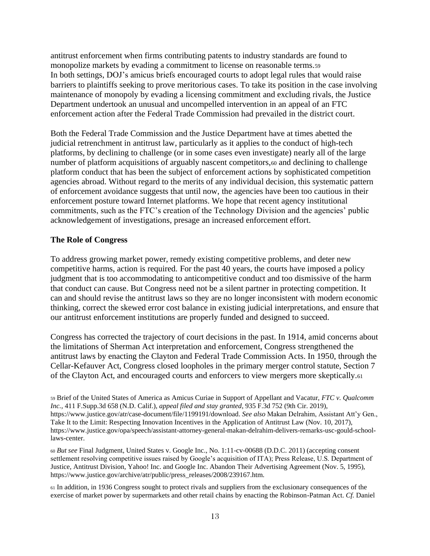antitrust enforcement when firms contributing patents to industry standards are found to monopolize markets by evading a commitment to license on reasonable terms.<sup>59</sup> In both settings, DOJ's amicus briefs encouraged courts to adopt legal rules that would raise barriers to plaintiffs seeking to prove meritorious cases. To take its position in the case involving maintenance of monopoly by evading a licensing commitment and excluding rivals, the Justice Department undertook an unusual and uncompelled intervention in an appeal of an FTC enforcement action after the Federal Trade Commission had prevailed in the district court.

Both the Federal Trade Commission and the Justice Department have at times abetted the judicial retrenchment in antitrust law, particularly as it applies to the conduct of high-tech platforms, by declining to challenge (or in some cases even investigate) nearly all of the large number of platform acquisitions of arguably nascent competitors,<sup>60</sup> and declining to challenge platform conduct that has been the subject of enforcement actions by sophisticated competition agencies abroad. Without regard to the merits of any individual decision, this systematic pattern of enforcement avoidance suggests that until now, the agencies have been too cautious in their enforcement posture toward Internet platforms. We hope that recent agency institutional commitments, such as the FTC's creation of the Technology Division and the agencies' public acknowledgement of investigations, presage an increased enforcement effort.

### **The Role of Congress**

To address growing market power, remedy existing competitive problems, and deter new competitive harms, action is required. For the past 40 years, the courts have imposed a policy judgment that is too accommodating to anticompetitive conduct and too dismissive of the harm that conduct can cause. But Congress need not be a silent partner in protecting competition. It can and should revise the antitrust laws so they are no longer inconsistent with modern economic thinking, correct the skewed error cost balance in existing judicial interpretations, and ensure that our antitrust enforcement institutions are properly funded and designed to succeed.

Congress has corrected the trajectory of court decisions in the past. In 1914, amid concerns about the limitations of Sherman Act interpretation and enforcement, Congress strengthened the antitrust laws by enacting the Clayton and Federal Trade Commission Acts. In 1950, through the Cellar-Kefauver Act, Congress closed loopholes in the primary merger control statute, Section 7 of the Clayton Act, and encouraged courts and enforcers to view mergers more skeptically.<sup>61</sup>

<sup>59</sup> Brief of the United States of America as Amicus Curiae in Support of Appellant and Vacatur, *FTC v. Qualcomm Inc.,* 411 F.Supp.3d 658 (N.D. Calif.), *appeal filed and stay granted*, 935 F.3d 752 (9th Cir. 2019), https://www.justice.gov/atr/case-document/file/1199191/download. *See also* Makan Delrahim, Assistant Att'y Gen., Take It to the Limit: Respecting Innovation Incentives in the Application of Antitrust Law (Nov. 10, 2017), https://www.justice.gov/opa/speech/assistant-attorney-general-makan-delrahim-delivers-remarks-usc-gould-schoollaws-center.

<sup>60</sup> *But see* Final Judgment, United States v. Google Inc., No. 1:11-cv-00688 (D.D.C. 2011) (accepting consent settlement resolving competitive issues raised by Google's acquisition of ITA); Press Release, U.S. Department of Justice, Antitrust Division, Yahoo! Inc. and Google Inc. Abandon Their Advertising Agreement (Nov. 5, 1995), https://www.justice.gov/archive/atr/public/press\_releases/2008/239167.htm.

<sup>61</sup> In addition, in 1936 Congress sought to protect rivals and suppliers from the exclusionary consequences of the exercise of market power by supermarkets and other retail chains by enacting the Robinson-Patman Act. *Cf.* Daniel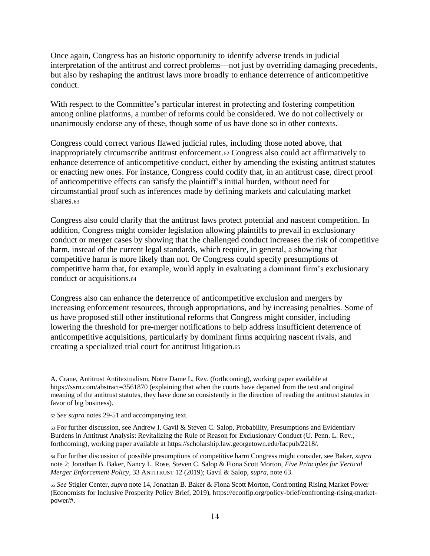Once again, Congress has an historic opportunity to identify adverse trends in judicial interpretation of the antitrust and correct problems—not just by overriding damaging precedents, but also by reshaping the antitrust laws more broadly to enhance deterrence of anticompetitive conduct.

With respect to the Committee's particular interest in protecting and fostering competition among online platforms, a number of reforms could be considered. We do not collectively or unanimously endorse any of these, though some of us have done so in other contexts.

Congress could correct various flawed judicial rules, including those noted above, that inappropriately circumscribe antitrust enforcement.<sup>62</sup> Congress also could act affirmatively to enhance deterrence of anticompetitive conduct, either by amending the existing antitrust statutes or enacting new ones. For instance, Congress could codify that, in an antitrust case, direct proof of anticompetitive effects can satisfy the plaintiff's initial burden, without need for circumstantial proof such as inferences made by defining markets and calculating market shares.<sup>63</sup>

<span id="page-13-0"></span>Congress also could clarify that the antitrust laws protect potential and nascent competition. In addition, Congress might consider legislation allowing plaintiffs to prevail in exclusionary conduct or merger cases by showing that the challenged conduct increases the risk of competitive harm, instead of the current legal standards, which require, in general, a showing that competitive harm is more likely than not. Or Congress could specify presumptions of competitive harm that, for example, would apply in evaluating a dominant firm's exclusionary conduct or acquisitions.<sup>64</sup>

Congress also can enhance the deterrence of anticompetitive exclusion and mergers by increasing enforcement resources, through appropriations, and by increasing penalties. Some of us have proposed still other institutional reforms that Congress might consider, including lowering the threshold for pre-merger notifications to help address insufficient deterrence of anticompetitive acquisitions, particularly by dominant firms acquiring nascent rivals, and creating a specialized trial court for antitrust litigation.<sup>65</sup>

A. Crane, Antitrust Antitextualism, Notre Dame L, Rev. (forthcoming), working paper available at https://ssrn.com/abstract=3561870 (explaining that when the courts have departed from the text and original meaning of the antitrust statutes, they have done so consistently in the direction of reading the antitrust statutes in favor of big business).

<sup>62</sup> *See supra* notes [29](#page-6-0)[-51](#page-10-0) and accompanying text.

<sup>63</sup> For further discussion, see Andrew I. Gavil & Steven C. Salop, Probability, Presumptions and Evidentiary Burdens in Antitrust Analysis: Revitalizing the Rule of Reason for Exclusionary Conduct (U. Penn. L. Rev., forthcoming), working paper available at https://scholarship.law.georgetown.edu/facpub/2218/.

<sup>64</sup> For further discussion of possible presumptions of competitive harm Congress might consider, see Baker, *supra*  not[e 2;](#page-1-0) Jonathan B. Baker, Nancy L. Rose, Steven C. Salop & Fiona Scott Morton, *Five Principles for Vertical Merger Enforcement Policy*, 33 ANTITRUST 12 (2019); Gavil & Salop, *supra,* not[e 63.](#page-13-0)

<sup>65</sup> *See* Stigler Center, *supra* not[e 14,](#page-3-0) Jonathan B. Baker & Fiona Scott Morton, Confronting Rising Market Power (Economists for Inclusive Prosperity Policy Brief, 2019), https://econfip.org/policy-brief/confronting-rising-marketpower/#.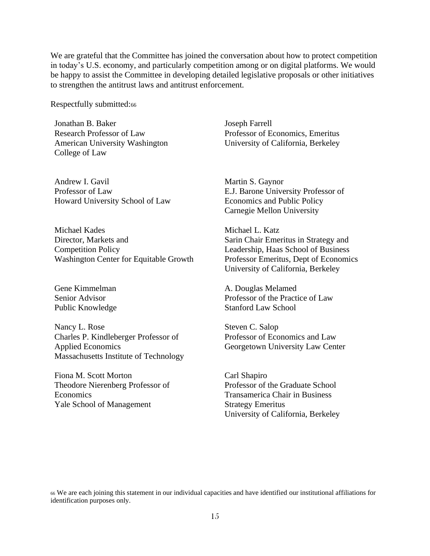We are grateful that the Committee has joined the conversation about how to protect competition in today's U.S. economy, and particularly competition among or on digital platforms. We would be happy to assist the Committee in developing detailed legislative proposals or other initiatives to strengthen the antitrust laws and antitrust enforcement.

Respectfully submitted:<sup>66</sup>

Jonathan B. Baker Research Professor of Law American University Washington College of Law

Andrew I. Gavil Professor of Law Howard University School of Law

Michael Kades Director, Markets and Competition Policy Washington Center for Equitable Growth

Gene Kimmelman Senior Advisor Public Knowledge

Nancy L. Rose Charles P. Kindleberger Professor of Applied Economics Massachusetts Institute of Technology

Fiona M. Scott Morton Theodore Nierenberg Professor of Economics Yale School of Management

Joseph Farrell Professor of Economics, Emeritus University of California, Berkeley

Martin S. Gaynor E.J. Barone University Professor of Economics and Public Policy Carnegie Mellon University

Michael L. Katz Sarin Chair Emeritus in Strategy and Leadership, Haas School of Business Professor Emeritus, Dept of Economics University of California, Berkeley

A. Douglas Melamed Professor of the Practice of Law Stanford Law School

Steven C. Salop Professor of Economics and Law Georgetown University Law Center

Carl Shapiro Professor of the Graduate School Transamerica Chair in Business Strategy Emeritus University of California, Berkeley

<sup>66</sup> We are each joining this statement in our individual capacities and have identified our institutional affiliations for identification purposes only.